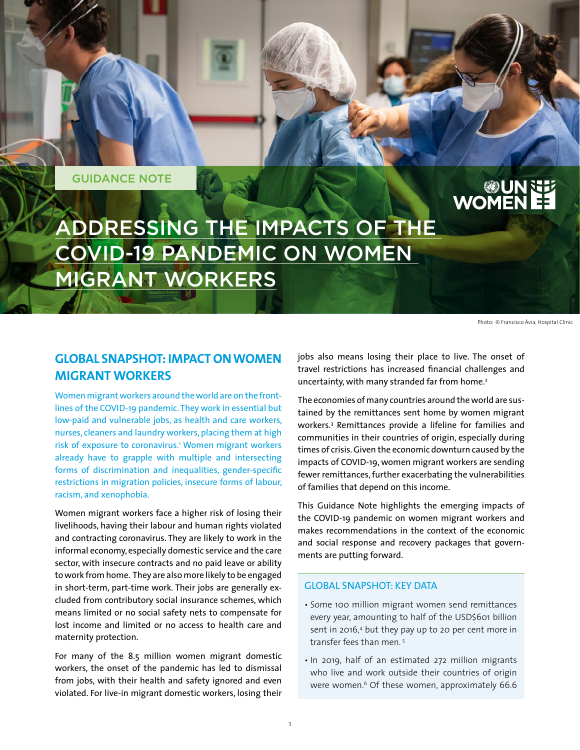GUIDANCE NOTE

# **EE AUGEST**

ADDRESSING THE IMPACTS OF THE COVID-19 PANDEMIC ON WOMEN MIGRANT WORKERS

Photo: © Francisco Àvia, Hospital Clínic

# **GLOBAL SNAPSHOT: IMPACT ON WOMEN MIGRANT WORKERS**

Women migrant workers around the world are on the frontlines of the COVID-19 pandemic. They work in essential but low-paid and vulnerable jobs, as health and care workers, nurses, cleaners and laundry workers, placing them at high risk of exposure to coronavirus.1 Women migrant workers already have to grapple with multiple and intersecting forms of discrimination and inequalities, gender-specific restrictions in migration policies, insecure forms of labour, racism, and xenophobia.

Women migrant workers face a higher risk of losing their livelihoods, having their labour and human rights violated and contracting coronavirus. They are likely to work in the informal economy, especially domestic service and the care sector, with insecure contracts and no paid leave or ability to work from home. They are also more likely to be engaged in short-term, part-time work. Their jobs are generally excluded from contributory social insurance schemes, which means limited or no social safety nets to compensate for lost income and limited or no access to health care and maternity protection.

For many of the 8.5 million women migrant domestic workers, the onset of the pandemic has led to dismissal from jobs, with their health and safety ignored and even violated. For live-in migrant domestic workers, losing their

jobs also means losing their place to live. The onset of travel restrictions has increased financial challenges and uncertainty, with many stranded far from home.<sup>2</sup>

The economies of many countries around the world are sustained by the remittances sent home by women migrant workers.3 Remittances provide a lifeline for families and communities in their countries of origin, especially during times of crisis. Given the economic downturn caused by the impacts of COVID-19, women migrant workers are sending fewer remittances, further exacerbating the vulnerabilities of families that depend on this income.

This Guidance Note highlights the emerging impacts of the COVID-19 pandemic on women migrant workers and makes recommendations in the context of the economic and social response and recovery packages that governments are putting forward.

### GLOBAL SNAPSHOT: KEY DATA

- Some 100 million migrant women send remittances every year, amounting to half of the USD\$601 billion sent in 2016,<sup>4</sup> but they pay up to 20 per cent more in transfer fees than men. 5
- In 2019, half of an estimated 272 million migrants who live and work outside their countries of origin were women.<sup>6</sup> Of these women, approximately 66.6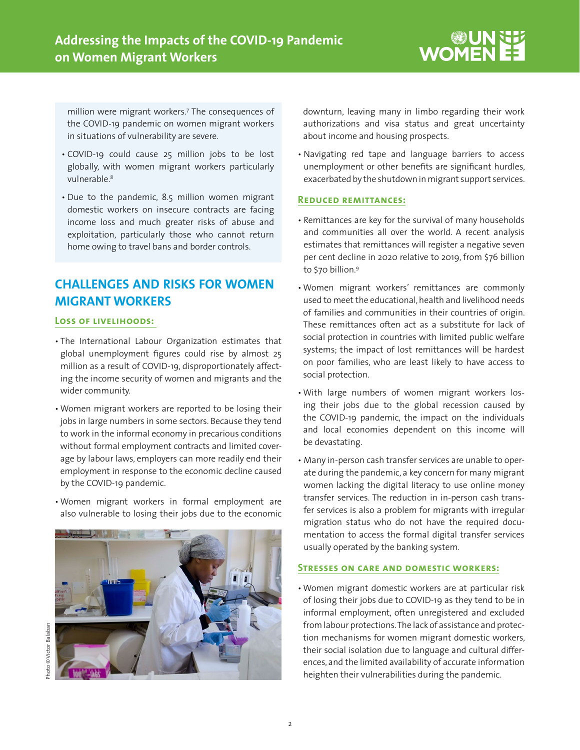million were migrant workers.7 The consequences of the COVID-19 pandemic on women migrant workers in situations of vulnerability are severe.

- COVID-19 could cause 25 million jobs to be lost globally, with women migrant workers particularly vulnerable.8
- Due to the pandemic, 8.5 million women migrant domestic workers on insecure contracts are facing income loss and much greater risks of abuse and exploitation, particularly those who cannot return home owing to travel bans and border controls.

# **CHALLENGES AND RISKS FOR WOMEN MIGRANT WORKERS**

#### **Loss of livelihoods:**

- The International Labour Organization estimates that global unemployment figures could rise by almost 25 million as a result of COVID-19, disproportionately affecting the income security of women and migrants and the wider community.
- Women migrant workers are reported to be losing their jobs in large numbers in some sectors. Because they tend to work in the informal economy in precarious conditions without formal employment contracts and limited coverage by labour laws, employers can more readily end their employment in response to the economic decline caused by the COVID-19 pandemic.
- Women migrant workers in formal employment are also vulnerable to losing their jobs due to the economic



hoto © Victor Balaban Photo © Victor Balaban

downturn, leaving many in limbo regarding their work authorizations and visa status and great uncertainty about income and housing prospects.

• Navigating red tape and language barriers to access unemployment or other benefits are significant hurdles, exacerbated by the shutdown in migrant support services.

#### **Reduced remittances:**

- Remittances are key for the survival of many households and communities all over the world. A recent analysis estimates that remittances will register a negative seven per cent decline in 2020 relative to 2019, from \$76 billion to \$70 billion.9
- Women migrant workers' remittances are commonly used to meet the educational, health and livelihood needs of families and communities in their countries of origin. These remittances often act as a substitute for lack of social protection in countries with limited public welfare systems; the impact of lost remittances will be hardest on poor families, who are least likely to have access to social protection.
- With large numbers of women migrant workers losing their jobs due to the global recession caused by the COVID-19 pandemic, the impact on the individuals and local economies dependent on this income will be devastating.
- Many in-person cash transfer services are unable to operate during the pandemic, a key concern for many migrant women lacking the digital literacy to use online money transfer services. The reduction in in-person cash transfer services is also a problem for migrants with irregular migration status who do not have the required documentation to access the formal digital transfer services usually operated by the banking system.

## **Stresses on care and domestic workers:**

• Women migrant domestic workers are at particular risk of losing their jobs due to COVID-19 as they tend to be in informal employment, often unregistered and excluded from labour protections. The lack of assistance and protection mechanisms for women migrant domestic workers, their social isolation due to language and cultural differences, and the limited availability of accurate information heighten their vulnerabilities during the pandemic.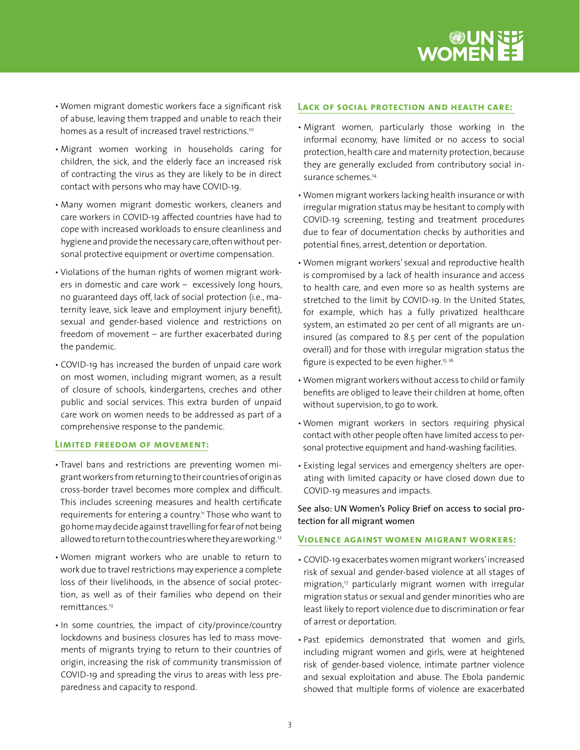

- Women migrant domestic workers face a significant risk of abuse, leaving them trapped and unable to reach their homes as a result of increased travel restrictions.<sup>10</sup>
- Migrant women working in households caring for children, the sick, and the elderly face an increased risk of contracting the virus as they are likely to be in direct contact with persons who may have COVID-19.
- Many women migrant domestic workers, cleaners and care workers in COVID-19 affected countries have had to cope with increased workloads to ensure cleanliness and hygiene and provide the necessary care, often without personal protective equipment or overtime compensation.
- Violations of the human rights of women migrant workers in domestic and care work – excessively long hours, no guaranteed days off, lack of social protection (i.e., maternity leave, sick leave and employment injury benefit), sexual and gender-based violence and restrictions on freedom of movement – are further exacerbated during the pandemic.
- COVID-19 has increased the burden of unpaid care work on most women, including migrant women, as a result of closure of schools, kindergartens, creches and other public and social services. This extra burden of unpaid care work on women needs to be addressed as part of a comprehensive response to the pandemic.

#### **Limited freedom of movement:**

- Travel bans and restrictions are preventing women migrant workers from returning to their countries of origin as cross-border travel becomes more complex and difficult. This includes screening measures and health certificate requirements for entering a country.<sup>11</sup> Those who want to go home may decide against travelling for fear of not being allowed to return to the countries where they are working.12
- Women migrant workers who are unable to return to work due to travel restrictions may experience a complete loss of their livelihoods, in the absence of social protection, as well as of their families who depend on their remittances.13
- In some countries, the impact of city/province/country lockdowns and business closures has led to mass movements of migrants trying to return to their countries of origin, increasing the risk of community transmission of COVID-19 and spreading the virus to areas with less preparedness and capacity to respond.

#### **Lack of social protection and health care:**

- Migrant women, particularly those working in the informal economy, have limited or no access to social protection, health care and maternity protection, because they are generally excluded from contributory social insurance schemes.<sup>14</sup>
- Women migrant workers lacking health insurance or with irregular migration status may be hesitant to comply with COVID-19 screening, testing and treatment procedures due to fear of documentation checks by authorities and potential fines, arrest, detention or deportation.
- Women migrant workers' sexual and reproductive health is compromised by a lack of health insurance and access to health care, and even more so as health systems are stretched to the limit by COVID-19. In the United States, for example, which has a fully privatized healthcare system, an estimated 20 per cent of all migrants are uninsured (as compared to 8.5 per cent of the population overall) and for those with irregular migration status the figure is expected to be even higher.<sup>15 16</sup>
- Women migrant workers without access to child or family benefits are obliged to leave their children at home, often without supervision, to go to work.
- Women migrant workers in sectors requiring physical contact with other people often have limited access to personal protective equipment and hand-washing facilities.
- Existing legal services and emergency shelters are operating with limited capacity or have closed down due to COVID-19 measures and impacts.

See also: UN Women's [Policy Brief on access to social pro](https://www.unwomen.org/-/media/headquarters/attachments/sections/library/publications/2020/policy%20brief%2014_migration%20and%20social%20protection_rnd3_web_011320.pdf?la=en&vs=3633)[tection for all migrant women](https://www.unwomen.org/-/media/headquarters/attachments/sections/library/publications/2020/policy%20brief%2014_migration%20and%20social%20protection_rnd3_web_011320.pdf?la=en&vs=3633)

#### **Violence against women migrant workers:**

- COVID-19 exacerbates women migrant workers' increased risk of sexual and gender-based violence at all stages of migration,<sup>17</sup> particularly migrant women with irregular migration status or sexual and gender minorities who are least likely to report violence due to discrimination or fear of arrest or deportation.
- Past epidemics demonstrated that women and girls, including migrant women and girls, were at heightened risk of gender-based violence, intimate partner violence and sexual exploitation and abuse. The Ebola pandemic showed that multiple forms of violence are exacerbated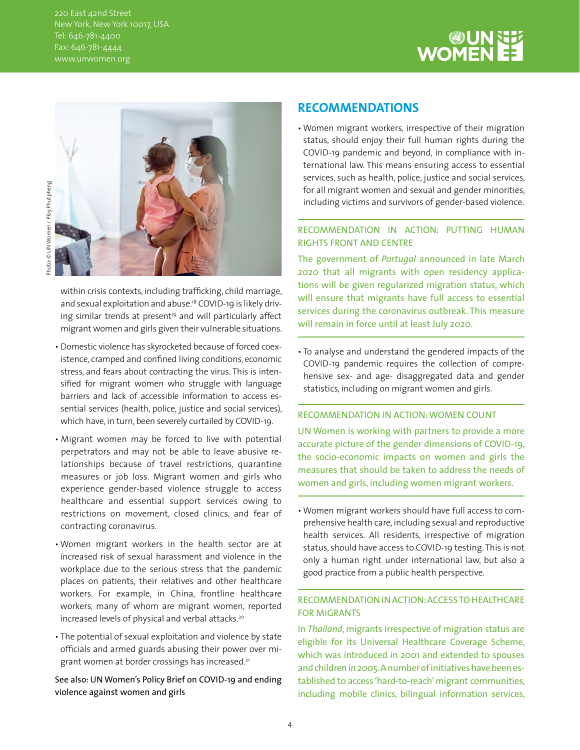220 East 42nd Street New York, New York 10017, USA Tel: 646-781-4400 Fax: 646-781-4444 www.unwomen.org





within crisis contexts, including trafficking, child marriage, and sexual exploitation and abuse.<sup>18</sup> COVID-19 is likely driving similar trends at present<sup>19</sup> and will particularly affect migrant women and girls given their vulnerable situations.

- Domestic violence has skyrocketed because of forced coexistence, cramped and confined living conditions, economic stress, and fears about contracting the virus. This is intensified for migrant women who struggle with language barriers and lack of accessible information to access essential services (health, police, justice and social services), which have, in turn, been severely curtailed by COVID-19.
- Migrant women may be forced to live with potential perpetrators and may not be able to leave abusive relationships because of travel restrictions, quarantine measures or job loss. Migrant women and girls who experience gender-based violence struggle to access healthcare and essential support services owing to restrictions on movement, closed clinics, and fear of contracting coronavirus.
- Women migrant workers in the health sector are at increased risk of sexual harassment and violence in the workplace due to the serious stress that the pandemic places on patients, their relatives and other healthcare workers. For example, in China, frontline healthcare workers, many of whom are migrant women, reported increased levels of physical and verbal attacks.<sup>20</sup>
- The potential of sexual exploitation and violence by state officials and armed guards abusing their power over migrant women at border crossings has increased.<sup>21</sup>

See also: [UN Women's Policy Brief on COVID-19 and ending](https://www.unwomen.org/en/digital-library/publications/2020/04/issue-brief-covid-19-and-ending-violence-against-women-and-girls)  [violence against women and girls](https://www.unwomen.org/en/digital-library/publications/2020/04/issue-brief-covid-19-and-ending-violence-against-women-and-girls)

# **RECOMMENDATIONS**

• Women migrant workers, irrespective of their migration status, should enjoy their full human rights during the COVID-19 pandemic and beyond, in compliance with international law. This means ensuring access to essential services, such as health, police, justice and social services, for all migrant women and sexual and gender minorities, including victims and survivors of gender-based violence.

# RECOMMENDATION IN ACTION: PUTTING HUMAN RIGHTS FRONT AND CENTRE

The government of *Portugal* announced in late March 2020 that all migrants with open residency applications will be given regularized migration status, which will ensure that migrants have full access to essential services during the coronavirus outbreak. This measure will remain in force until at least July 2020.

• To analyse and understand the gendered impacts of the COVID-19 pandemic requires the collection of comprehensive sex- and age- disaggregated data and gender statistics, including on migrant women and girls.

## RECOMMENDATION IN ACTION: [WOMEN COUNT](https://data.unwomen.org/resources/covid-19-emerging-gender-data-and-why-it-matters)

UN Women is working with partners to provide a more accurate picture of the gender dimensions of COVID-19, the socio-economic impacts on women and girls the measures that should be taken to address the needs of women and girls, including women migrant workers.

• Women migrant workers should have full access to comprehensive health care, including sexual and reproductive health services. All residents, irrespective of migration status, should have access to COVID-19 testing. This is not only a human right under international law, but also a good practice from a public health perspective.

# RECOMMENDATION IN ACTION: ACCESS TO HEALTHCARE FOR MIGRANTS

In *Thailand*, migrants irrespective of migration status are eligible for its Universal Healthcare Coverage Scheme, which was introduced in 2001 and extended to spouses and children in 2005. A number of initiatives have been established to access 'hard-to-reach' migrant communities, including mobile clinics, bilingual information services,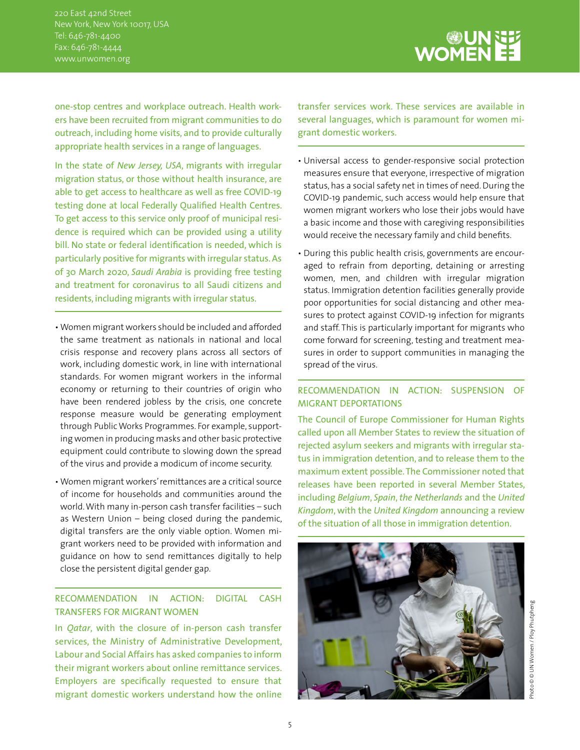220 East 42nd Street New York, New York 10017, USA Tel: 646-781-4400 Fax: 646-781-4444 www.unwomen.org

UN SE<br>EE WOMEN

one-stop centres and workplace outreach. Health workers have been recruited from migrant communities to do outreach, including home visits, and to provide culturally appropriate health services in a range of languages.

In the state of *New Jersey, USA*, migrants with irregular migration status, or those without health insurance, are able to get access to healthcare as well as free COVID-19 testing done at local Federally Qualified Health Centres. To get access to this service only proof of municipal residence is required which can be provided using a utility bill. No state or federal identification is needed, which is particularly positive for migrants with irregular status. As of 30 March 2020, *Saudi Arabia* is providing free testing and treatment for coronavirus to all Saudi citizens and residents, including migrants with irregular status.

- Women migrant workers should be included and afforded the same treatment as nationals in national and local crisis response and recovery plans across all sectors of work, including domestic work, in line with international standards. For women migrant workers in the informal economy or returning to their countries of origin who have been rendered jobless by the crisis, one concrete response measure would be generating employment through Public Works Programmes. For example, supporting women in producing masks and other basic protective equipment could contribute to slowing down the spread of the virus and provide a modicum of income security.
- Women migrant workers' remittances are a critical source of income for households and communities around the world. With many in-person cash transfer facilities – such as Western Union – being closed during the pandemic, digital transfers are the only viable option. Women migrant workers need to be provided with information and guidance on how to send remittances digitally to help close the persistent digital gender gap.

# RECOMMENDATION IN ACTION: DIGITAL CASH TRANSFERS FOR MIGRANT WOMEN

In *Qatar*, with the closure of in-person cash transfer services, the Ministry of Administrative Development, Labour and Social Affairs has asked companies to inform their migrant workers about online remittance services. Employers are specifically requested to ensure that migrant domestic workers understand how the online

transfer services work. These services are available in several languages, which is paramount for women migrant domestic workers.

- Universal access to gender-responsive social protection measures ensure that everyone, irrespective of migration status, has a social safety net in times of need. During the COVID-19 pandemic, such access would help ensure that women migrant workers who lose their jobs would have a basic income and those with caregiving responsibilities would receive the necessary family and child benefits.
- During this public health crisis, governments are encouraged to refrain from deporting, detaining or arresting women, men, and children with irregular migration status. Immigration detention facilities generally provide poor opportunities for social distancing and other measures to protect against COVID-19 infection for migrants and staff. This is particularly important for migrants who come forward for screening, testing and treatment measures in order to support communities in managing the spread of the virus.

## RECOMMENDATION IN ACTION: SUSPENSION OF MIGRANT DEPORTATIONS

The Council of Europe Commissioner for Human Rights called upon all Member States to review the situation of rejected asylum seekers and migrants with irregular status in immigration detention, and to release them to the maximum extent possible. The Commissioner noted that releases have been reported in several Member States, including *Belgium*, *Spain*, *the Netherlands* and the *United Kingdom*, with the *United Kingdom* announcing a review of the situation of all those in immigration detention.